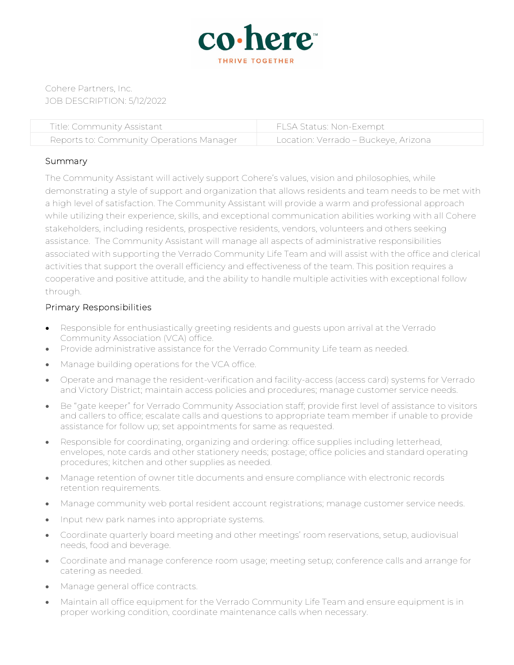

Cohere Partners, Inc. JOB DESCRIPTION: 5/12/2022

| Title: Community Assistant               | FLSA Status: Non-Exempt              |
|------------------------------------------|--------------------------------------|
| Reports to: Community Operations Manager | Location: Verrado – Buckeye, Arizona |

## Summary

The Community Assistant will actively support Cohere's values, vision and philosophies, while demonstrating a style of support and organization that allows residents and team needs to be met with a high level of satisfaction. The Community Assistant will provide a warm and professional approach while utilizing their experience, skills, and exceptional communication abilities working with all Cohere stakeholders, including residents, prospective residents, vendors, volunteers and others seeking assistance. The Community Assistant will manage all aspects of administrative responsibilities associated with supporting the Verrado Community Life Team and will assist with the office and clerical activities that support the overall efficiency and effectiveness of the team. This position requires a cooperative and positive attitude, and the ability to handle multiple activities with exceptional follow through.

## Primary Responsibilities

- Responsible for enthusiastically greeting residents and guests upon arrival at the Verrado Community Association (VCA) office.
- Provide administrative assistance for the Verrado Community Life team as needed.
- Manage building operations for the VCA office.
- Operate and manage the resident-verification and facility-access (access card) systems for Verrado and Victory District; maintain access policies and procedures; manage customer service needs.
- Be "gate keeper" for Verrado Community Association staff; provide first level of assistance to visitors and callers to office; escalate calls and questions to appropriate team member if unable to provide assistance for follow up; set appointments for same as requested.
- Responsible for coordinating, organizing and ordering: office supplies including letterhead, envelopes, note cards and other stationery needs; postage; office policies and standard operating procedures; kitchen and other supplies as needed.
- Manage retention of owner title documents and ensure compliance with electronic records retention requirements.
- Manage community web portal resident account registrations; manage customer service needs.
- Input new park names into appropriate systems.
- Coordinate quarterly board meeting and other meetings' room reservations, setup, audiovisual needs, food and beverage.
- Coordinate and manage conference room usage; meeting setup; conference calls and arrange for catering as needed.
- Manage general office contracts.
- Maintain all office equipment for the Verrado Community Life Team and ensure equipment is in proper working condition, coordinate maintenance calls when necessary.